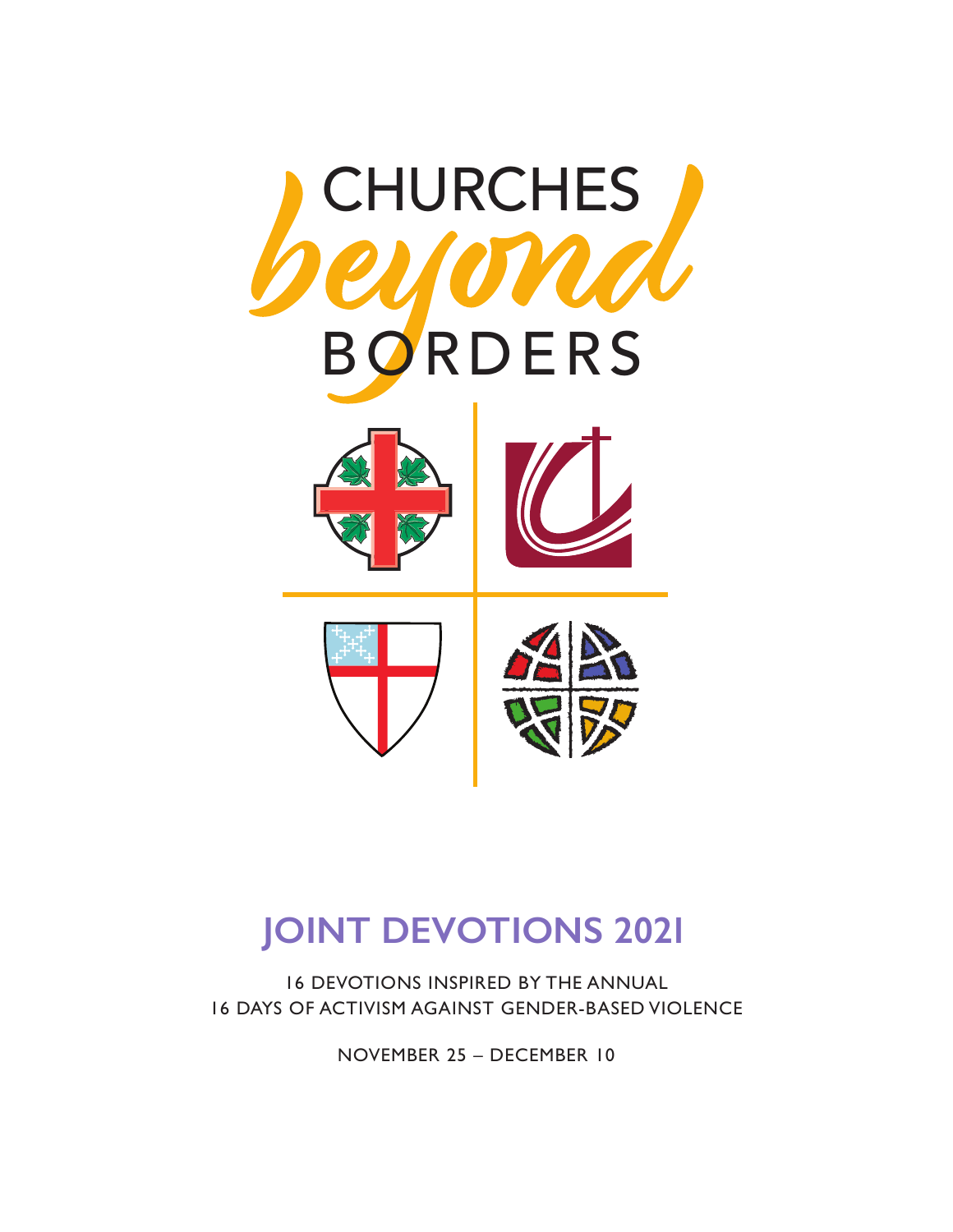

# **JOINT DEVOTIONS 2021**

16 DEVOTIONS INSPIRED BY THE ANNUAL 16 DAYS OF ACTIVISM AGAINST GENDER-BASED VIOLENCE

NOVEMBER 25 – DECEMBER 10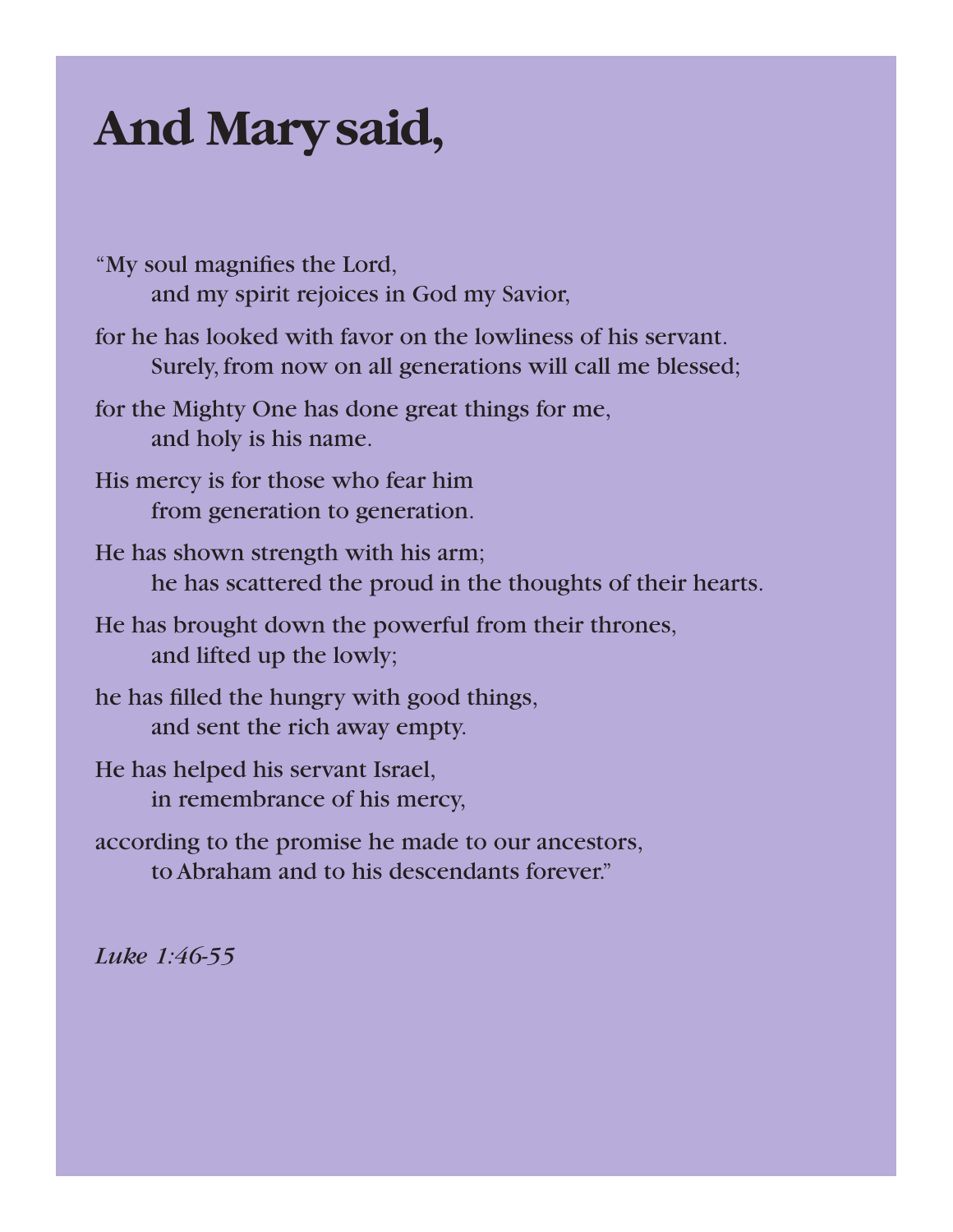# **And Marysaid,**

- "My soul magnifies the Lord, and my spirit rejoices in God my Savior,
- for he has looked with favor on the lowliness of his servant. Surely, from now on all generations will call me blessed;
- for the Mighty One has done great things for me, and holy is his name.
- His mercy is for those who fear him from generation to generation.
- He has shown strength with his arm; he has scattered the proud in the thoughts of their hearts.
- He has brought down the powerful from their thrones, and lifted up the lowly;
- he has filled the hungry with good things, and sent the rich away empty.
- He has helped his servant Israel, in remembrance of his mercy,
- according to the promise he made to our ancestors, to Abraham and to his descendants forever."

*Luke 1:46-55*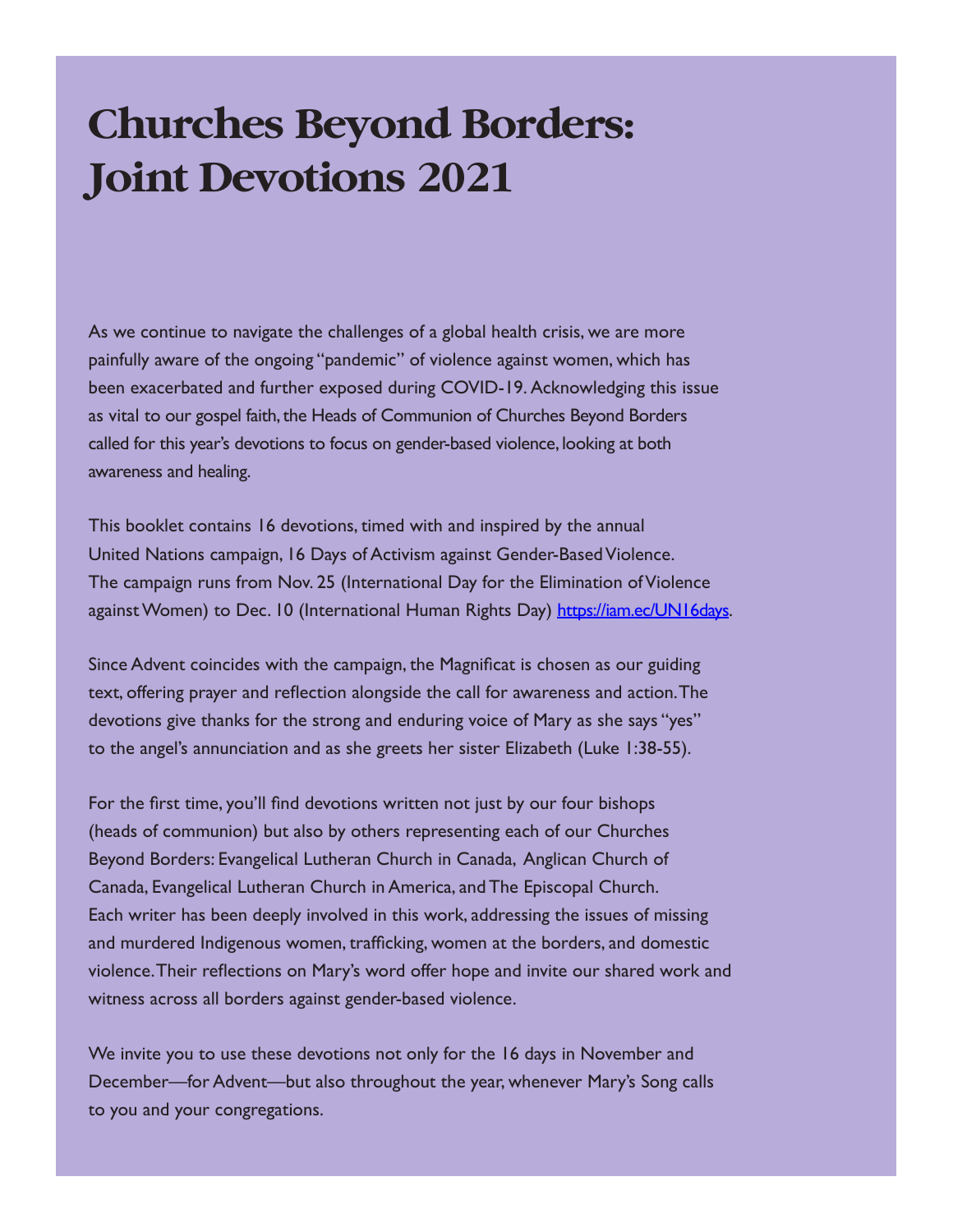# **Churches Beyond Borders: Joint Devotions 2021**

As we continue to navigate the challenges of a global health crisis, we are more painfully aware of the ongoing "pandemic" of violence against women, which has been exacerbated and further exposed during COVID-19. Acknowledging this issue as vital to our gospel faith, the Heads of Communion of Churches Beyond Borders called for this year's devotions to focus on gender-based violence, looking at both awareness and healing.

This booklet contains 16 devotions, timed with and inspired by the annual United Nations campaign, 16 Days of Activism against Gender-Based Violence. The campaign runs from Nov. 25 (International Day for the Elimination of Violence against Women) to Dec. 10 (International Human Rights Day) https://iam.ec/UN16days.

Since Advent coincides with the campaign, the Magnificat is chosen as our guiding text, offering prayer and reflection alongside the call for awareness and action. The devotions give thanks for the strong and enduring voice of Mary as she says "yes" to the angel's annunciation and as she greets her sister Elizabeth (Luke 1:38-55).

For the first time, you'll find devotions written not just by our four bishops (heads of communion) but also by others representing each of our Churches Beyond Borders: Evangelical Lutheran Church in Canada, Anglican Church of Canada, Evangelical Lutheran Church in America, and The Episcopal Church. Each writer has been deeply involved in this work, addressing the issues of missing and murdered Indigenous women, trafficking, women at the borders, and domestic violence. Their reflections on Mary's word offer hope and invite our shared work and witness across all borders against gender-based violence.

We invite you to use these devotions not only for the 16 days in November and December—for Advent—but also throughout the year, whenever Mary's Song calls to you and your congregations.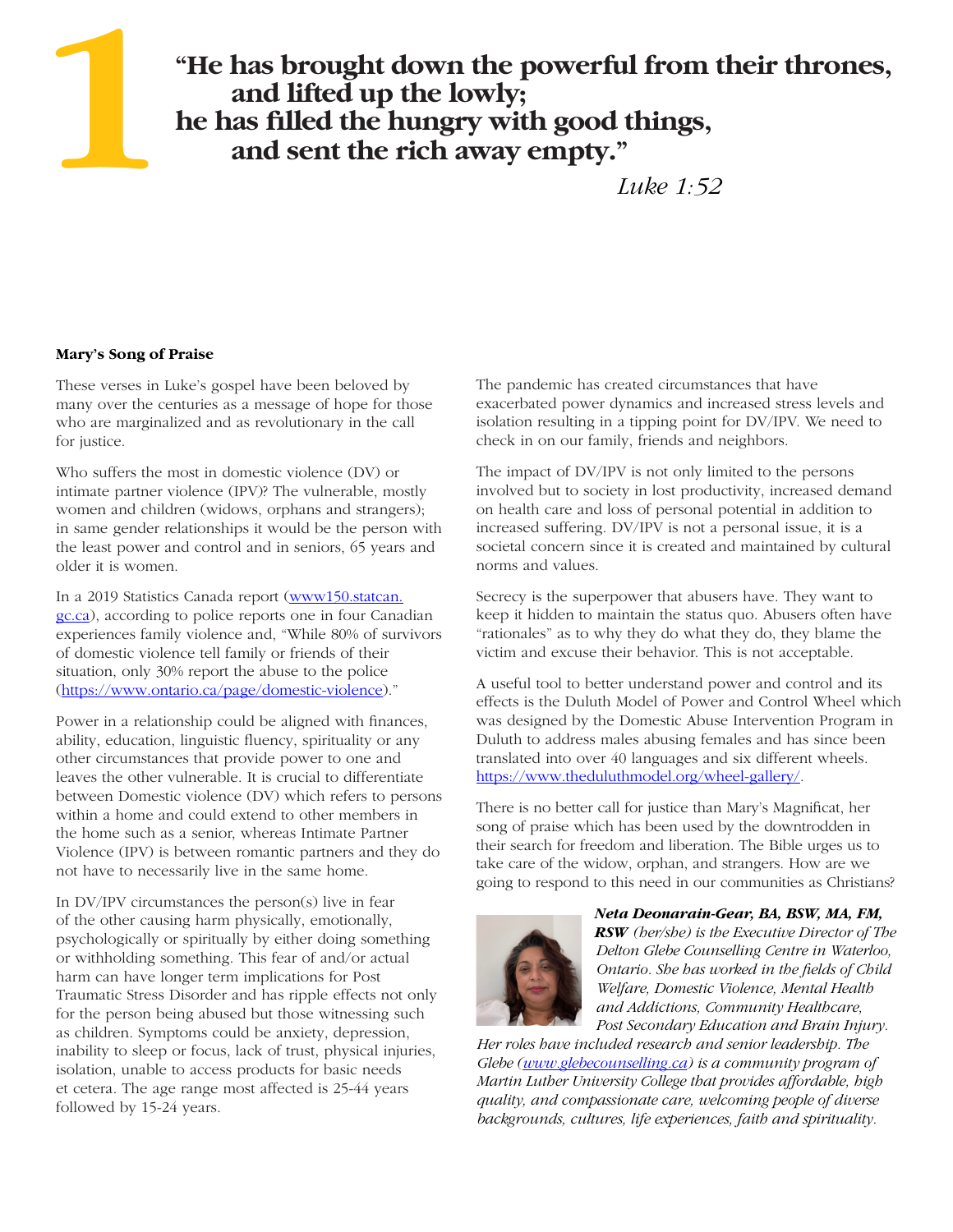# **"He has brought down the powerful from their thrones, and lifted up the lowly; he has filled the hungry with good things, and sent the rich away empty."**

## *Luke 1:52*

#### **Mary's Song of Praise**

**1**

These verses in Luke's gospel have been beloved by many over the centuries as a message of hope for those who are marginalized and as revolutionary in the call for justice.

Who suffers the most in domestic violence (DV) or intimate partner violence (IPV)? The vulnerable, mostly women and children (widows, orphans and strangers); in same gender relationships it would be the person with the least power and control and in seniors, 65 years and older it is women.

In a 2019 Statistics Canada report (www150.statcan. gc.ca), according to police reports one in four Canadian experiences family violence and, "While 80% of survivors of domestic violence tell family or friends of their situation, only 30% report the abuse to the police (https://www.ontario.ca/page/domestic-violence)."

Power in a relationship could be aligned with finances, ability, education, linguistic fluency, spirituality or any other circumstances that provide power to one and leaves the other vulnerable. It is crucial to differentiate between Domestic violence (DV) which refers to persons within a home and could extend to other members in the home such as a senior, whereas Intimate Partner Violence (IPV) is between romantic partners and they do not have to necessarily live in the same home.

In DV/IPV circumstances the person(s) live in fear of the other causing harm physically, emotionally, psychologically or spiritually by either doing something or withholding something. This fear of and/or actual harm can have longer term implications for Post Traumatic Stress Disorder and has ripple effects not only for the person being abused but those witnessing such as children. Symptoms could be anxiety, depression, inability to sleep or focus, lack of trust, physical injuries, isolation, unable to access products for basic needs et cetera. The age range most affected is 25-44 years followed by 15-24 years.

The pandemic has created circumstances that have exacerbated power dynamics and increased stress levels and isolation resulting in a tipping point for DV/IPV. We need to check in on our family, friends and neighbors.

The impact of DV/IPV is not only limited to the persons involved but to society in lost productivity, increased demand on health care and loss of personal potential in addition to increased suffering. DV/IPV is not a personal issue, it is a societal concern since it is created and maintained by cultural norms and values.

Secrecy is the superpower that abusers have. They want to keep it hidden to maintain the status quo. Abusers often have "rationales" as to why they do what they do, they blame the victim and excuse their behavior. This is not acceptable.

A useful tool to better understand power and control and its effects is the Duluth Model of Power and Control Wheel which was designed by the Domestic Abuse Intervention Program in Duluth to address males abusing females and has since been translated into over 40 languages and six different wheels. https://www.theduluthmodel.org/wheel-gallery/.

There is no better call for justice than Mary's Magnificat, her song of praise which has been used by the downtrodden in their search for freedom and liberation. The Bible urges us to take care of the widow, orphan, and strangers. How are we going to respond to this need in our communities as Christians?



*Neta Deonarain-Gear, BA, BSW, MA, FM, RSW (her/she) is the Executive Director of The Delton Glebe Counselling Centre in Waterloo, Ontario. She has worked in the fields of Child Welfare, Domestic Violence, Mental Health and Addictions, Community Healthcare, Post Secondary Education and Brain Injury.* 

*Her roles have included research and senior leadership. The Glebe (www.glebecounselling.ca) is a community program of Martin Luther University College that provides affordable, high quality, and compassionate care, welcoming people of diverse backgrounds, cultures, life experiences, faith and spirituality.*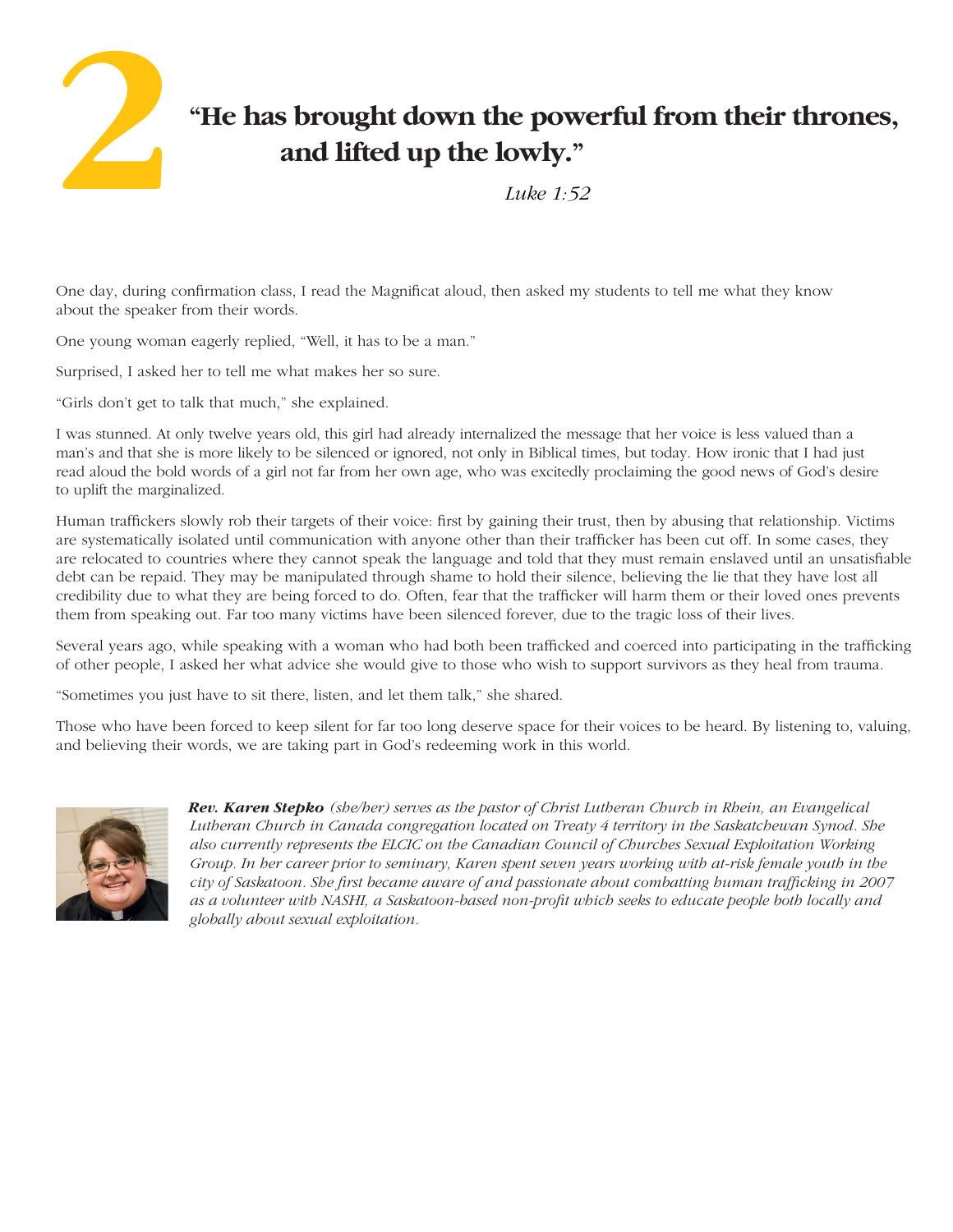

# **"He has brought down the powerful from their thrones, and lifted up the lowly."**

 *Luke 1:52*

One day, during confirmation class, I read the Magnificat aloud, then asked my students to tell me what they know about the speaker from their words.

One young woman eagerly replied, "Well, it has to be a man."

Surprised, I asked her to tell me what makes her so sure.

"Girls don't get to talk that much," she explained.

I was stunned. At only twelve years old, this girl had already internalized the message that her voice is less valued than a man's and that she is more likely to be silenced or ignored, not only in Biblical times, but today. How ironic that I had just read aloud the bold words of a girl not far from her own age, who was excitedly proclaiming the good news of God's desire to uplift the marginalized.

Human traffickers slowly rob their targets of their voice: first by gaining their trust, then by abusing that relationship. Victims are systematically isolated until communication with anyone other than their trafficker has been cut off. In some cases, they are relocated to countries where they cannot speak the language and told that they must remain enslaved until an unsatisfiable debt can be repaid. They may be manipulated through shame to hold their silence, believing the lie that they have lost all credibility due to what they are being forced to do. Often, fear that the trafficker will harm them or their loved ones prevents them from speaking out. Far too many victims have been silenced forever, due to the tragic loss of their lives.

Several years ago, while speaking with a woman who had both been trafficked and coerced into participating in the trafficking of other people, I asked her what advice she would give to those who wish to support survivors as they heal from trauma.

"Sometimes you just have to sit there, listen, and let them talk," she shared.

Those who have been forced to keep silent for far too long deserve space for their voices to be heard. By listening to, valuing, and believing their words, we are taking part in God's redeeming work in this world.



*Rev. Karen Stepko (she/her) serves as the pastor of Christ Lutheran Church in Rhein, an Evangelical Lutheran Church in Canada congregation located on Treaty 4 territory in the Saskatchewan Synod. She also currently represents the ELCIC on the Canadian Council of Churches Sexual Exploitation Working Group. In her career prior to seminary, Karen spent seven years working with at-risk female youth in the city of Saskatoon. She first became aware of and passionate about combatting human trafficking in 2007 as a volunteer with NASHI, a Saskatoon-based non-profit which seeks to educate people both locally and globally about sexual exploitation.*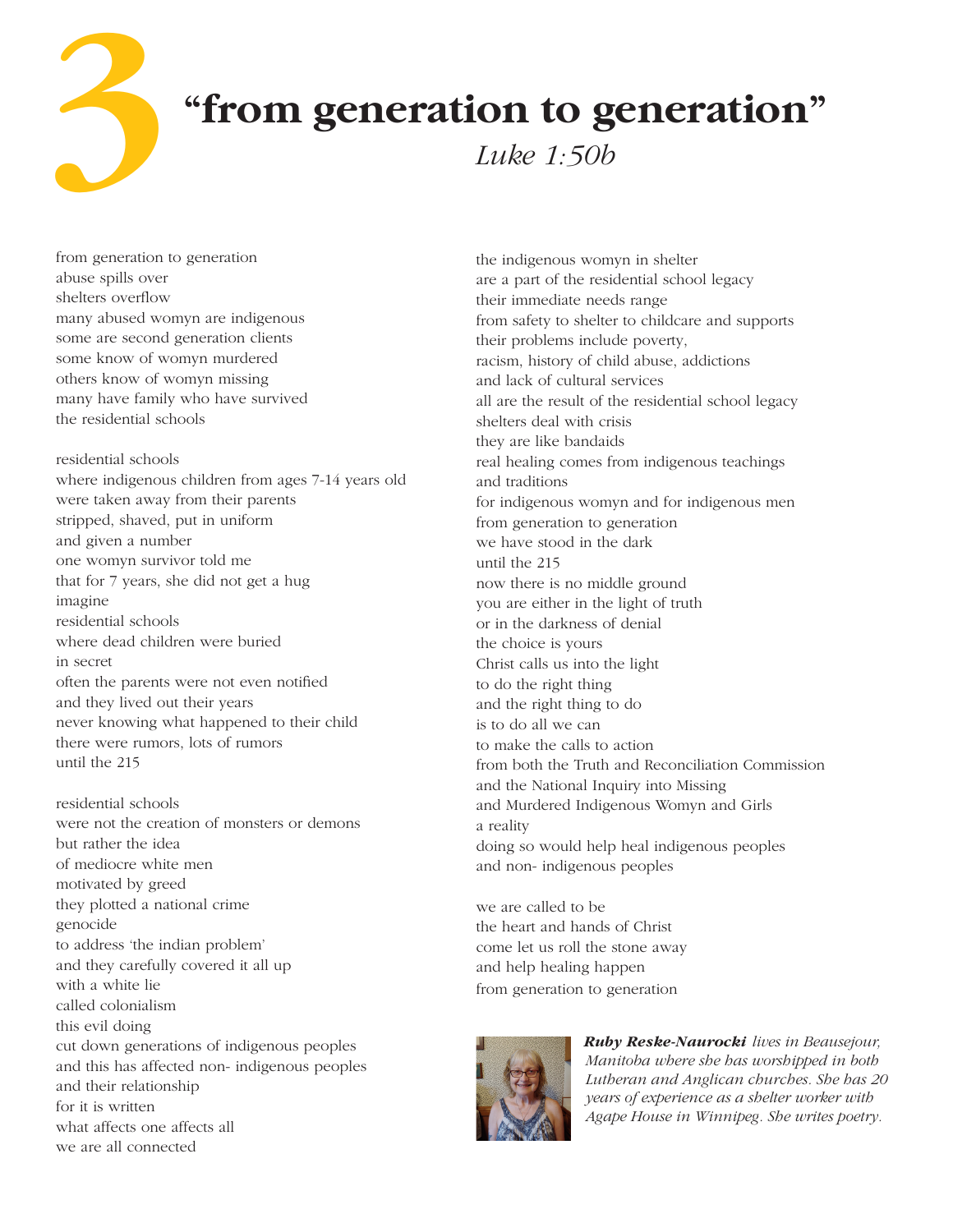**"from generation to generation"**

 *Luke 1:50b*

from generation to generation abuse spills over shelters overflow many abused womyn are indigenous some are second generation clients some know of womyn murdered others know of womyn missing many have family who have survived the residential schools

**3**

residential schools where indigenous children from ages 7-14 years old were taken away from their parents stripped, shaved, put in uniform and given a number one womyn survivor told me that for 7 years, she did not get a hug imagine residential schools where dead children were buried in secret often the parents were not even notified and they lived out their years never knowing what happened to their child there were rumors, lots of rumors until the 215

residential schools were not the creation of monsters or demons but rather the idea of mediocre white men motivated by greed they plotted a national crime genocide to address 'the indian problem' and they carefully covered it all up with a white lie called colonialism this evil doing cut down generations of indigenous peoples and this has affected non- indigenous peoples and their relationship for it is written what affects one affects all we are all connected

the indigenous womyn in shelter are a part of the residential school legacy their immediate needs range from safety to shelter to childcare and supports their problems include poverty, racism, history of child abuse, addictions and lack of cultural services all are the result of the residential school legacy shelters deal with crisis they are like bandaids real healing comes from indigenous teachings and traditions for indigenous womyn and for indigenous men from generation to generation we have stood in the dark until the 215 now there is no middle ground you are either in the light of truth or in the darkness of denial the choice is yours Christ calls us into the light to do the right thing and the right thing to do is to do all we can to make the calls to action from both the Truth and Reconciliation Commission and the National Inquiry into Missing and Murdered Indigenous Womyn and Girls a reality doing so would help heal indigenous peoples and non- indigenous peoples

we are called to be the heart and hands of Christ come let us roll the stone away and help healing happen from generation to generation



*Ruby Reske-Naurocki lives in Beausejour, Manitoba where she has worshipped in both Lutheran and Anglican churches. She has 20 years of experience as a shelter worker with Agape House in Winnipeg. She writes poetry.*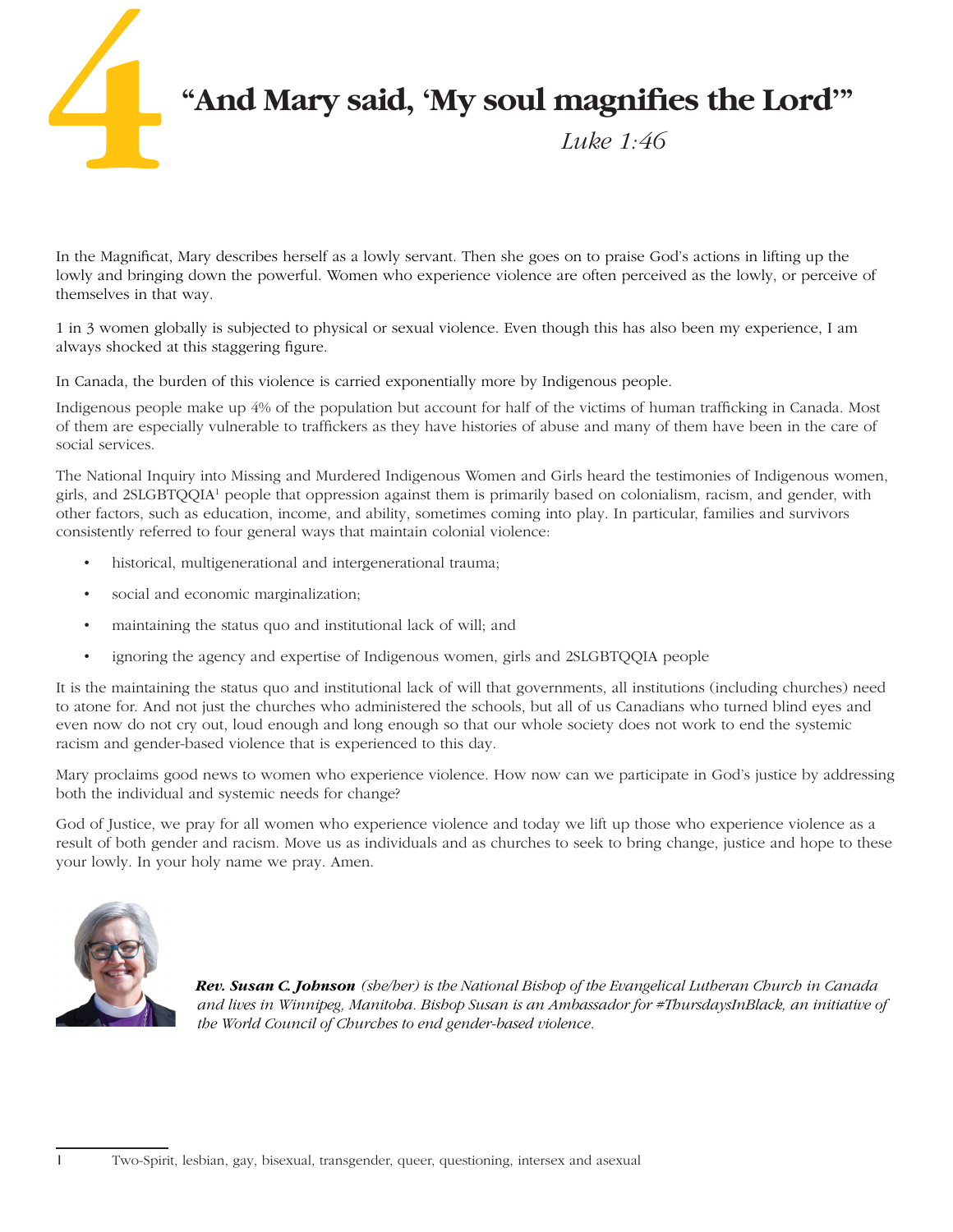

In the Magnificat, Mary describes herself as a lowly servant. Then she goes on to praise God's actions in lifting up the lowly and bringing down the powerful. Women who experience violence are often perceived as the lowly, or perceive of themselves in that way.

1 in 3 women globally is subjected to physical or sexual violence. Even though this has also been my experience, I am always shocked at this staggering figure.

In Canada, the burden of this violence is carried exponentially more by Indigenous people.

Indigenous people make up 4% of the population but account for half of the victims of human trafficking in Canada. Most of them are especially vulnerable to traffickers as they have histories of abuse and many of them have been in the care of social services.

The National Inquiry into Missing and Murdered Indigenous Women and Girls heard the testimonies of Indigenous women, girls, and 2SLGBTQQIA1 people that oppression against them is primarily based on colonialism, racism, and gender, with other factors, such as education, income, and ability, sometimes coming into play. In particular, families and survivors consistently referred to four general ways that maintain colonial violence:

- historical, multigenerational and intergenerational trauma;
- social and economic marginalization;
- maintaining the status quo and institutional lack of will; and
- ignoring the agency and expertise of Indigenous women, girls and 2SLGBTQQIA people

It is the maintaining the status quo and institutional lack of will that governments, all institutions (including churches) need to atone for. And not just the churches who administered the schools, but all of us Canadians who turned blind eyes and even now do not cry out, loud enough and long enough so that our whole society does not work to end the systemic racism and gender-based violence that is experienced to this day.

Mary proclaims good news to women who experience violence. How now can we participate in God's justice by addressing both the individual and systemic needs for change?

God of Justice, we pray for all women who experience violence and today we lift up those who experience violence as a result of both gender and racism. Move us as individuals and as churches to seek to bring change, justice and hope to these your lowly. In your holy name we pray. Amen.



*Rev. Susan C. Johnson (she/her) is the National Bishop of the Evangelical Lutheran Church in Canada and lives in Winnipeg, Manitoba. Bishop Susan is an Ambassador for #ThursdaysInBlack, an initiative of the World Council of Churches to end gender-based violence.*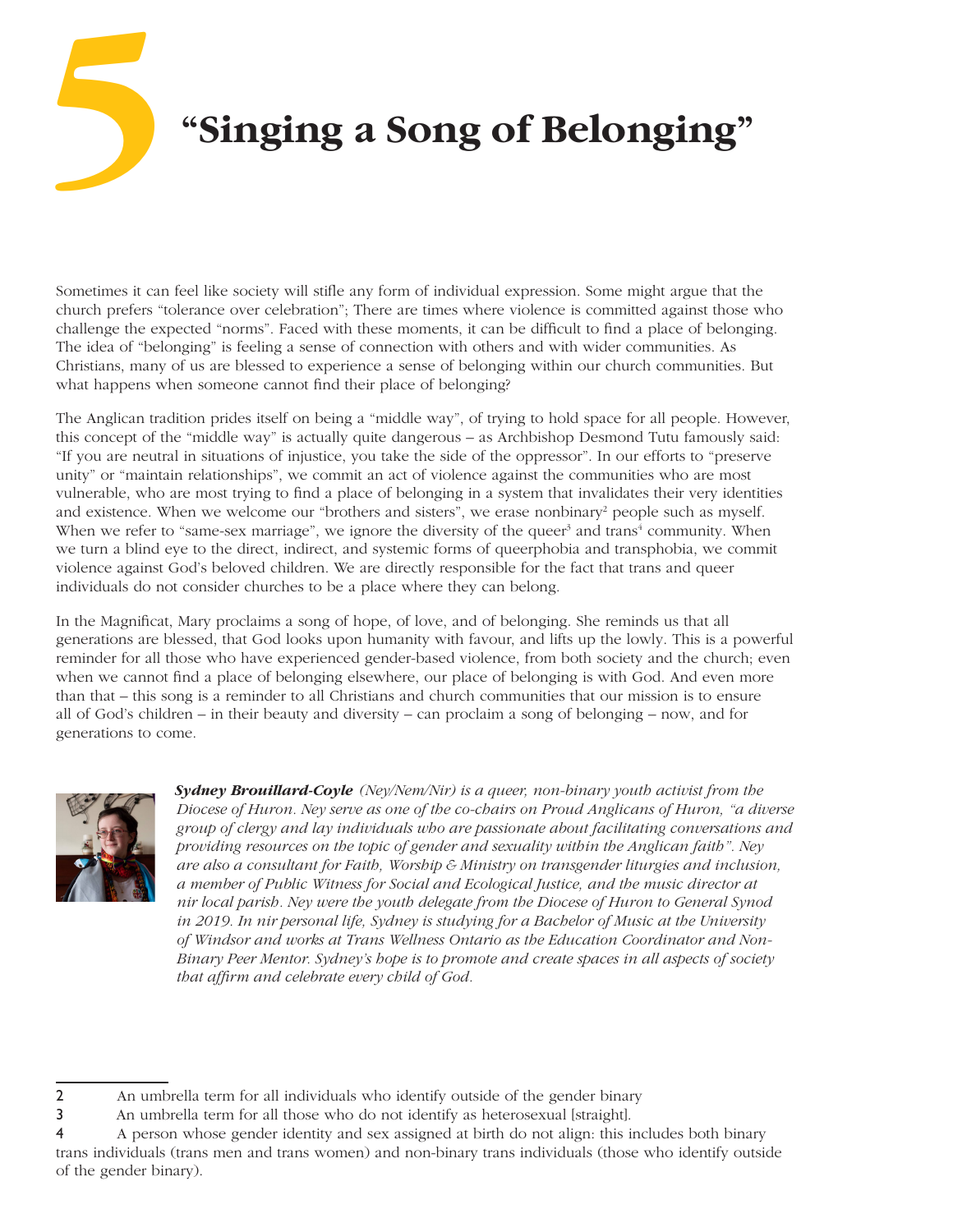# **"Singing a Song of Belonging" 5**

Sometimes it can feel like society will stifle any form of individual expression. Some might argue that the church prefers "tolerance over celebration"; There are times where violence is committed against those who challenge the expected "norms". Faced with these moments, it can be difficult to find a place of belonging. The idea of "belonging" is feeling a sense of connection with others and with wider communities. As Christians, many of us are blessed to experience a sense of belonging within our church communities. But what happens when someone cannot find their place of belonging?

The Anglican tradition prides itself on being a "middle way", of trying to hold space for all people. However, this concept of the "middle way" is actually quite dangerous – as Archbishop Desmond Tutu famously said: "If you are neutral in situations of injustice, you take the side of the oppressor". In our efforts to "preserve unity" or "maintain relationships", we commit an act of violence against the communities who are most vulnerable, who are most trying to find a place of belonging in a system that invalidates their very identities and existence. When we welcome our "brothers and sisters", we erase nonbinary<sup>2</sup> people such as myself. When we refer to "same-sex marriage", we ignore the diversity of the queer<sup>3</sup> and trans<sup>4</sup> community. When we turn a blind eye to the direct, indirect, and systemic forms of queerphobia and transphobia, we commit violence against God's beloved children. We are directly responsible for the fact that trans and queer individuals do not consider churches to be a place where they can belong.

In the Magnificat, Mary proclaims a song of hope, of love, and of belonging. She reminds us that all generations are blessed, that God looks upon humanity with favour, and lifts up the lowly. This is a powerful reminder for all those who have experienced gender-based violence, from both society and the church; even when we cannot find a place of belonging elsewhere, our place of belonging is with God. And even more than that – this song is a reminder to all Christians and church communities that our mission is to ensure all of God's children – in their beauty and diversity – can proclaim a song of belonging – now, and for generations to come.



*Sydney Brouillard-Coyle (Ney/Nem/Nir) is a queer, non-binary youth activist from the Diocese of Huron. Ney serve as one of the co-chairs on Proud Anglicans of Huron, "a diverse group of clergy and lay individuals who are passionate about facilitating conversations and providing resources on the topic of gender and sexuality within the Anglican faith". Ney are also a consultant for Faith, Worship & Ministry on transgender liturgies and inclusion, a member of Public Witness for Social and Ecological Justice, and the music director at nir local parish. Ney were the youth delegate from the Diocese of Huron to General Synod in 2019. In nir personal life, Sydney is studying for a Bachelor of Music at the University of Windsor and works at Trans Wellness Ontario as the Education Coordinator and Non-Binary Peer Mentor. Sydney's hope is to promote and create spaces in all aspects of society that affirm and celebrate every child of God.*

<sup>2</sup> An umbrella term for all individuals who identify outside of the gender binary

<sup>3</sup> An umbrella term for all those who do not identify as heterosexual [straight].

<sup>4</sup> A person whose gender identity and sex assigned at birth do not align: this includes both binary trans individuals (trans men and trans women) and non-binary trans individuals (those who identify outside of the gender binary).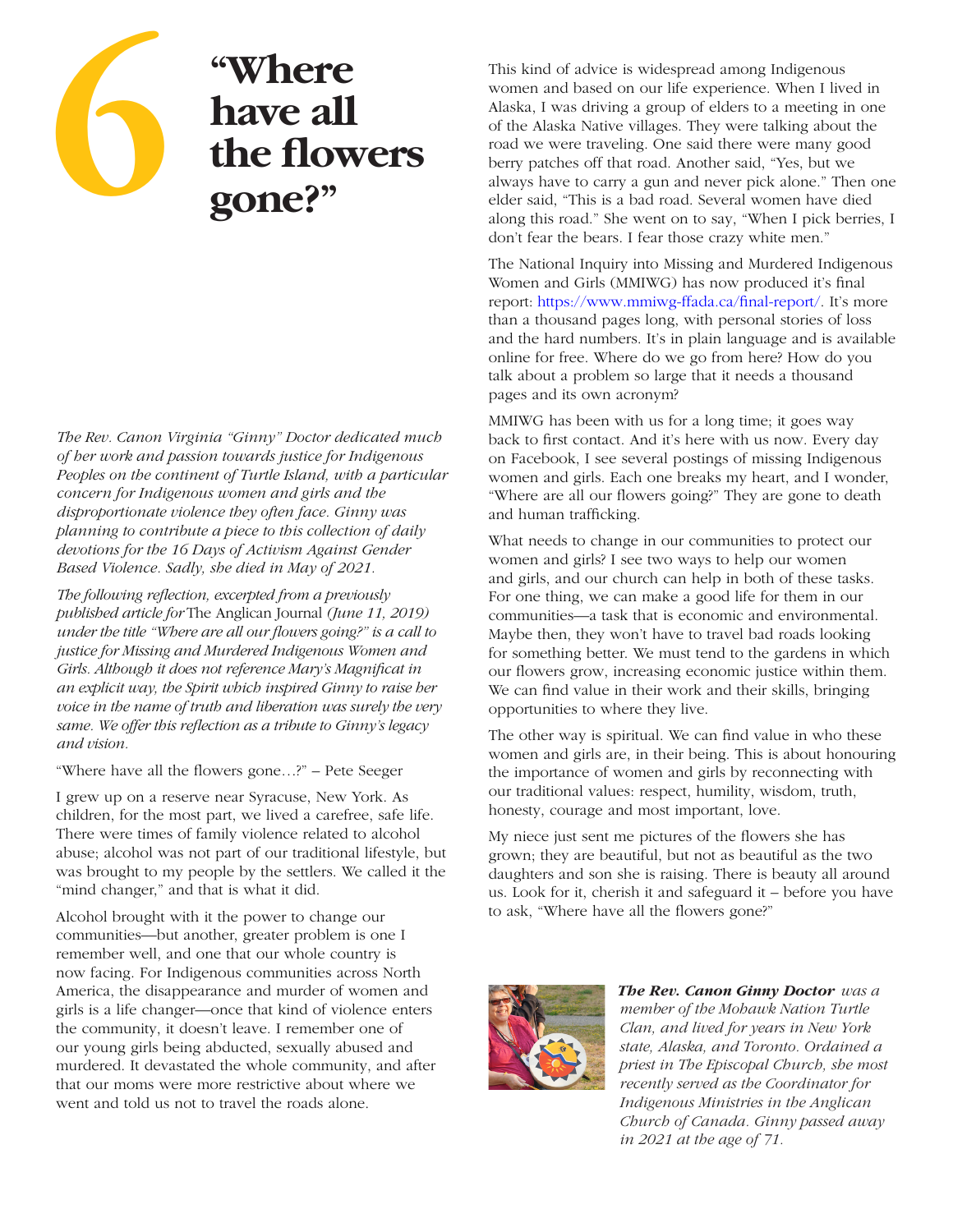

# **"Where have all the flowers gone?"**

*The Rev. Canon Virginia "Ginny" Doctor dedicated much of her work and passion towards justice for Indigenous Peoples on the continent of Turtle Island, with a particular concern for Indigenous women and girls and the disproportionate violence they often face. Ginny was planning to contribute a piece to this collection of daily devotions for the 16 Days of Activism Against Gender Based Violence. Sadly, she died in May of 2021.*

*The following reflection, excerpted from a previously published article for* The Anglican Journal *(June 11, 2019) under the title "Where are all our flowers going?" is a call to justice for Missing and Murdered Indigenous Women and Girls. Although it does not reference Mary's Magnificat in an explicit way, the Spirit which inspired Ginny to raise her voice in the name of truth and liberation was surely the very same. We offer this reflection as a tribute to Ginny's legacy and vision.*

"Where have all the flowers gone…?" – Pete Seeger

I grew up on a reserve near Syracuse, New York. As children, for the most part, we lived a carefree, safe life. There were times of family violence related to alcohol abuse; alcohol was not part of our traditional lifestyle, but was brought to my people by the settlers. We called it the "mind changer," and that is what it did.

Alcohol brought with it the power to change our communities—but another, greater problem is one I remember well, and one that our whole country is now facing. For Indigenous communities across North America, the disappearance and murder of women and girls is a life changer—once that kind of violence enters the community, it doesn't leave. I remember one of our young girls being abducted, sexually abused and murdered. It devastated the whole community, and after that our moms were more restrictive about where we went and told us not to travel the roads alone.

**EXELUATE:**<br> **FRANCE AND THE STAND SET ON THE STANDARY CONCISE TO MAGGINE ALL Alaska, I was driving a group of elders to a meeting indigenous of the Alaska, I was driving a group of elders to a meeting about of the Alaska** women and based on our life experience. When I lived in Alaska, I was driving a group of elders to a meeting in one of the Alaska Native villages. They were talking about the road we were traveling. One said there were many good berry patches off that road. Another said, "Yes, but we always have to carry a gun and never pick alone." Then one elder said, "This is a bad road. Several women have died along this road." She went on to say, "When I pick berries, I don't fear the bears. I fear those crazy white men."

> The National Inquiry into Missing and Murdered Indigenous Women and Girls (MMIWG) has now produced it's final report: https://www.mmiwg-ffada.ca/final-report/. It's more than a thousand pages long, with personal stories of loss and the hard numbers. It's in plain language and is available online for free. Where do we go from here? How do you talk about a problem so large that it needs a thousand pages and its own acronym?

MMIWG has been with us for a long time; it goes way back to first contact. And it's here with us now. Every day on Facebook, I see several postings of missing Indigenous women and girls. Each one breaks my heart, and I wonder, "Where are all our flowers going?" They are gone to death and human trafficking.

What needs to change in our communities to protect our women and girls? I see two ways to help our women and girls, and our church can help in both of these tasks. For one thing, we can make a good life for them in our communities—a task that is economic and environmental. Maybe then, they won't have to travel bad roads looking for something better. We must tend to the gardens in which our flowers grow, increasing economic justice within them. We can find value in their work and their skills, bringing opportunities to where they live.

The other way is spiritual. We can find value in who these women and girls are, in their being. This is about honouring the importance of women and girls by reconnecting with our traditional values: respect, humility, wisdom, truth, honesty, courage and most important, love.

My niece just sent me pictures of the flowers she has grown; they are beautiful, but not as beautiful as the two daughters and son she is raising. There is beauty all around us. Look for it, cherish it and safeguard it – before you have to ask, "Where have all the flowers gone?"



*The Rev. Canon Ginny Doctor was a member of the Mohawk Nation Turtle Clan, and lived for years in New York state, Alaska, and Toronto. Ordained a priest in The Episcopal Church, she most recently served as the Coordinator for Indigenous Ministries in the Anglican Church of Canada. Ginny passed away in 2021 at the age of 71.*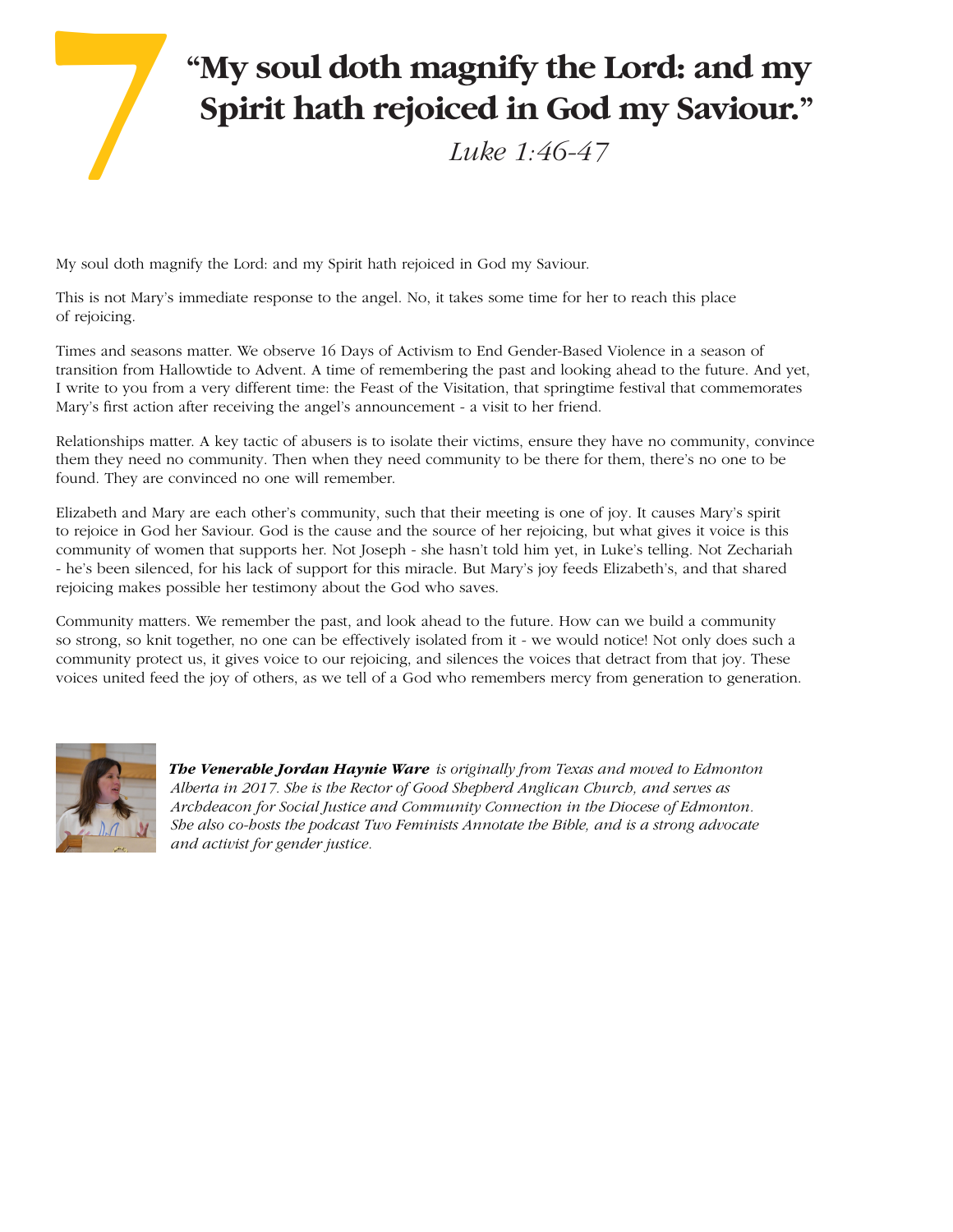# **"My soul doth magnify the Lord: and my Spirit hath rejoiced in God my Saviour."** *Luke 1:46-47* **7**

My soul doth magnify the Lord: and my Spirit hath rejoiced in God my Saviour.

This is not Mary's immediate response to the angel. No, it takes some time for her to reach this place of rejoicing.

Times and seasons matter. We observe 16 Days of Activism to End Gender-Based Violence in a season of transition from Hallowtide to Advent. A time of remembering the past and looking ahead to the future. And yet, I write to you from a very different time: the Feast of the Visitation, that springtime festival that commemorates Mary's first action after receiving the angel's announcement - a visit to her friend.

Relationships matter. A key tactic of abusers is to isolate their victims, ensure they have no community, convince them they need no community. Then when they need community to be there for them, there's no one to be found. They are convinced no one will remember.

Elizabeth and Mary are each other's community, such that their meeting is one of joy. It causes Mary's spirit to rejoice in God her Saviour. God is the cause and the source of her rejoicing, but what gives it voice is this community of women that supports her. Not Joseph - she hasn't told him yet, in Luke's telling. Not Zechariah - he's been silenced, for his lack of support for this miracle. But Mary's joy feeds Elizabeth's, and that shared rejoicing makes possible her testimony about the God who saves.

Community matters. We remember the past, and look ahead to the future. How can we build a community so strong, so knit together, no one can be effectively isolated from it - we would notice! Not only does such a community protect us, it gives voice to our rejoicing, and silences the voices that detract from that joy. These voices united feed the joy of others, as we tell of a God who remembers mercy from generation to generation.



*The Venerable Jordan Haynie Ware is originally from Texas and moved to Edmonton Alberta in 2017. She is the Rector of Good Shepherd Anglican Church, and serves as Archdeacon for Social Justice and Community Connection in the Diocese of Edmonton. She also co-hosts the podcast Two Feminists Annotate the Bible, and is a strong advocate and activist for gender justice.*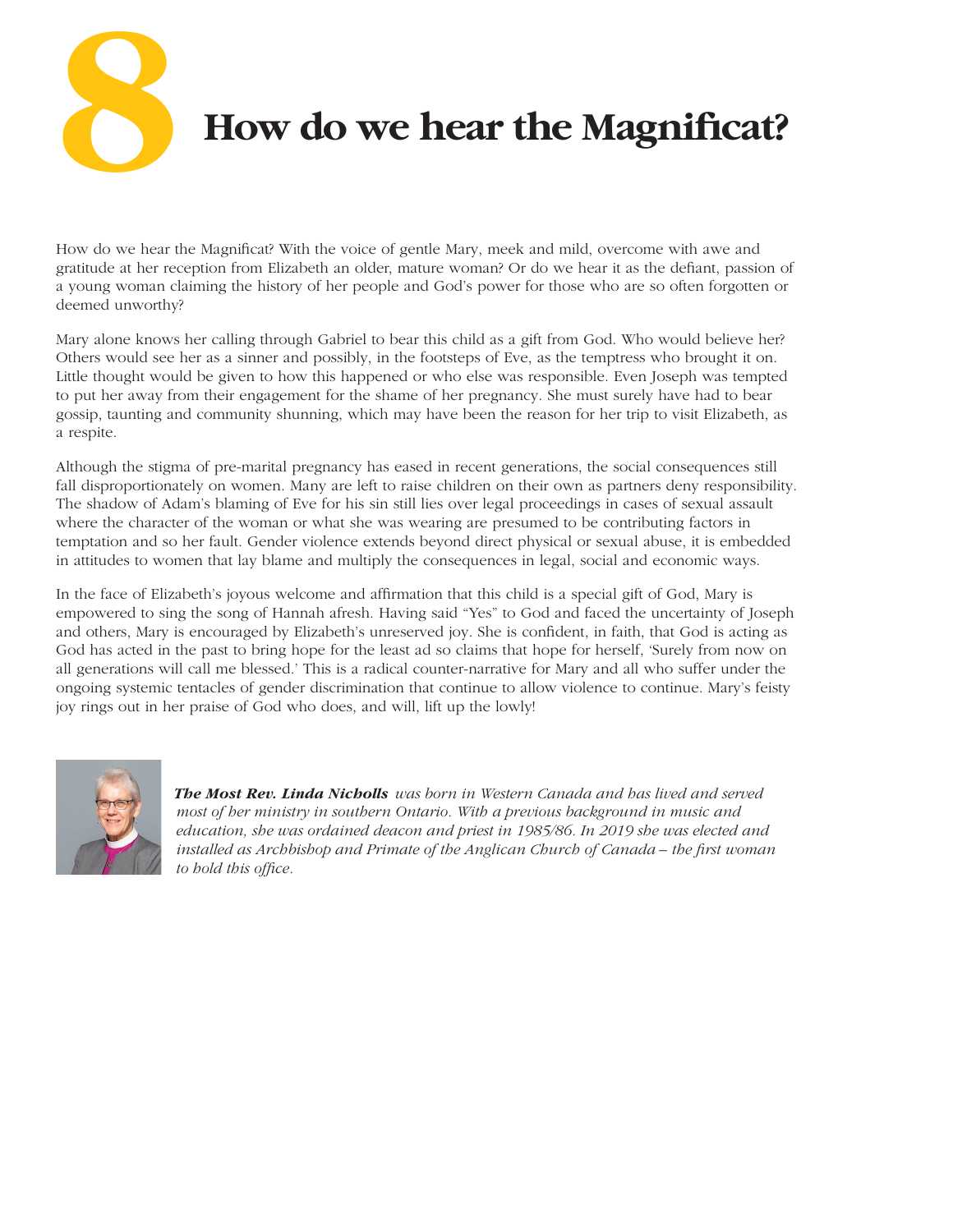**8**

 **How do we hear the Magnificat?**

How do we hear the Magnificat? With the voice of gentle Mary, meek and mild, overcome with awe and gratitude at her reception from Elizabeth an older, mature woman? Or do we hear it as the defiant, passion of a young woman claiming the history of her people and God's power for those who are so often forgotten or deemed unworthy?

Mary alone knows her calling through Gabriel to bear this child as a gift from God. Who would believe her? Others would see her as a sinner and possibly, in the footsteps of Eve, as the temptress who brought it on. Little thought would be given to how this happened or who else was responsible. Even Joseph was tempted to put her away from their engagement for the shame of her pregnancy. She must surely have had to bear gossip, taunting and community shunning, which may have been the reason for her trip to visit Elizabeth, as a respite.

Although the stigma of pre-marital pregnancy has eased in recent generations, the social consequences still fall disproportionately on women. Many are left to raise children on their own as partners deny responsibility. The shadow of Adam's blaming of Eve for his sin still lies over legal proceedings in cases of sexual assault where the character of the woman or what she was wearing are presumed to be contributing factors in temptation and so her fault. Gender violence extends beyond direct physical or sexual abuse, it is embedded in attitudes to women that lay blame and multiply the consequences in legal, social and economic ways.

In the face of Elizabeth's joyous welcome and affirmation that this child is a special gift of God, Mary is empowered to sing the song of Hannah afresh. Having said "Yes" to God and faced the uncertainty of Joseph and others, Mary is encouraged by Elizabeth's unreserved joy. She is confident, in faith, that God is acting as God has acted in the past to bring hope for the least ad so claims that hope for herself, 'Surely from now on all generations will call me blessed.' This is a radical counter-narrative for Mary and all who suffer under the ongoing systemic tentacles of gender discrimination that continue to allow violence to continue. Mary's feisty joy rings out in her praise of God who does, and will, lift up the lowly!



*The Most Rev. Linda Nicholls was born in Western Canada and has lived and served most of her ministry in southern Ontario. With a previous background in music and education, she was ordained deacon and priest in 1985/86. In 2019 she was elected and installed as Archbishop and Primate of the Anglican Church of Canada – the first woman to hold this office.*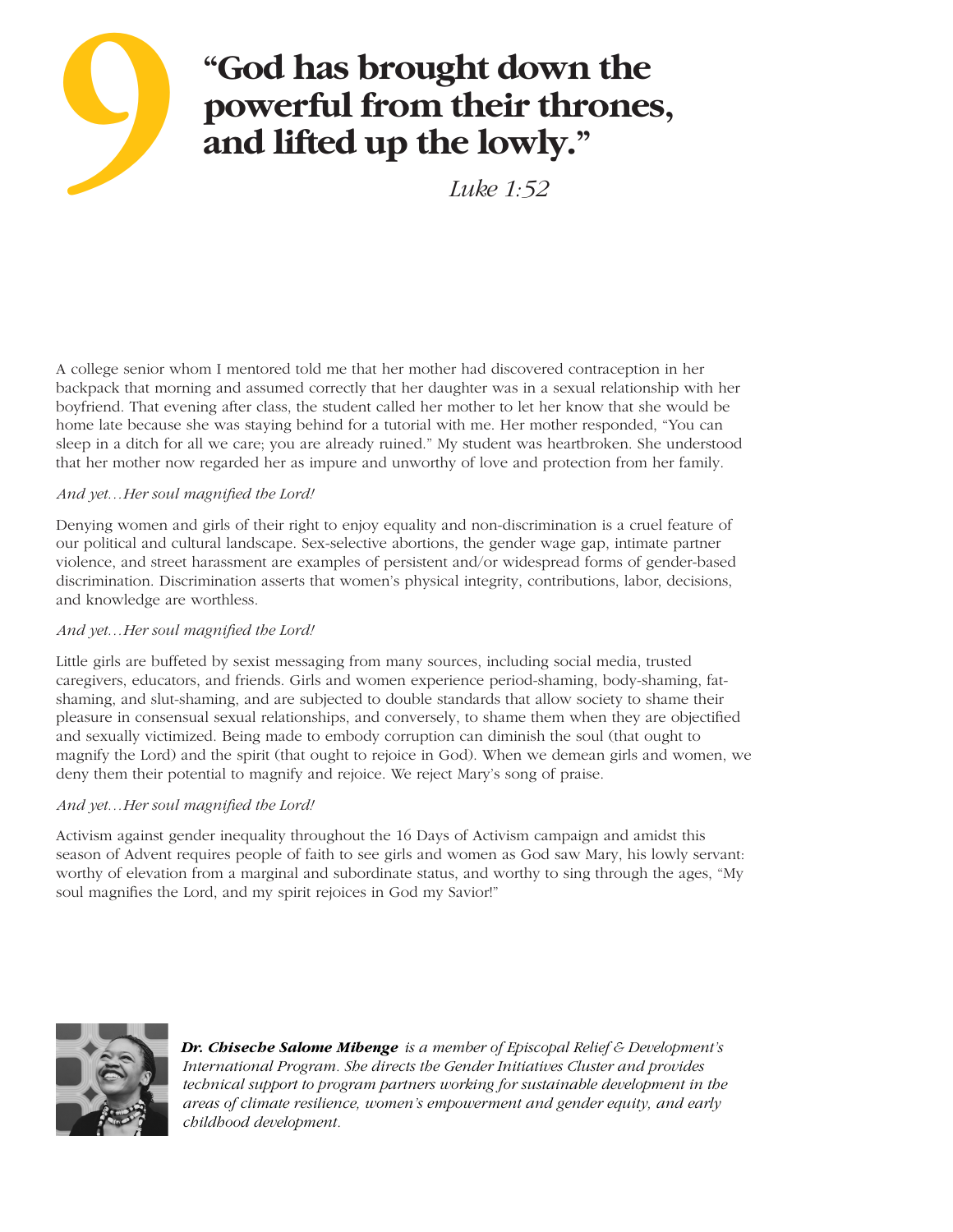

 *Luke 1:52*

A college senior whom I mentored told me that her mother had discovered contraception in her backpack that morning and assumed correctly that her daughter was in a sexual relationship with her boyfriend. That evening after class, the student called her mother to let her know that she would be home late because she was staying behind for a tutorial with me. Her mother responded, "You can sleep in a ditch for all we care; you are already ruined." My student was heartbroken. She understood that her mother now regarded her as impure and unworthy of love and protection from her family.

### *And yet…Her soul magnified the Lord!*

Denying women and girls of their right to enjoy equality and non-discrimination is a cruel feature of our political and cultural landscape. Sex-selective abortions, the gender wage gap, intimate partner violence, and street harassment are examples of persistent and/or widespread forms of gender-based discrimination. Discrimination asserts that women's physical integrity, contributions, labor, decisions, and knowledge are worthless.

#### *And yet…Her soul magnified the Lord!*

Little girls are buffeted by sexist messaging from many sources, including social media, trusted caregivers, educators, and friends. Girls and women experience period-shaming, body-shaming, fatshaming, and slut-shaming, and are subjected to double standards that allow society to shame their pleasure in consensual sexual relationships, and conversely, to shame them when they are objectified and sexually victimized. Being made to embody corruption can diminish the soul (that ought to magnify the Lord) and the spirit (that ought to rejoice in God). When we demean girls and women, we deny them their potential to magnify and rejoice. We reject Mary's song of praise.

### *And yet…Her soul magnified the Lord!*

Activism against gender inequality throughout the 16 Days of Activism campaign and amidst this season of Advent requires people of faith to see girls and women as God saw Mary, his lowly servant: worthy of elevation from a marginal and subordinate status, and worthy to sing through the ages, "My soul magnifies the Lord, and my spirit rejoices in God my Savior!"



*Dr. Chiseche Salome Mibenge is a member of Episcopal Relief & Development's International Program. She directs the Gender Initiatives Cluster and provides technical support to program partners working for sustainable development in the areas of climate resilience, women's empowerment and gender equity, and early childhood development.*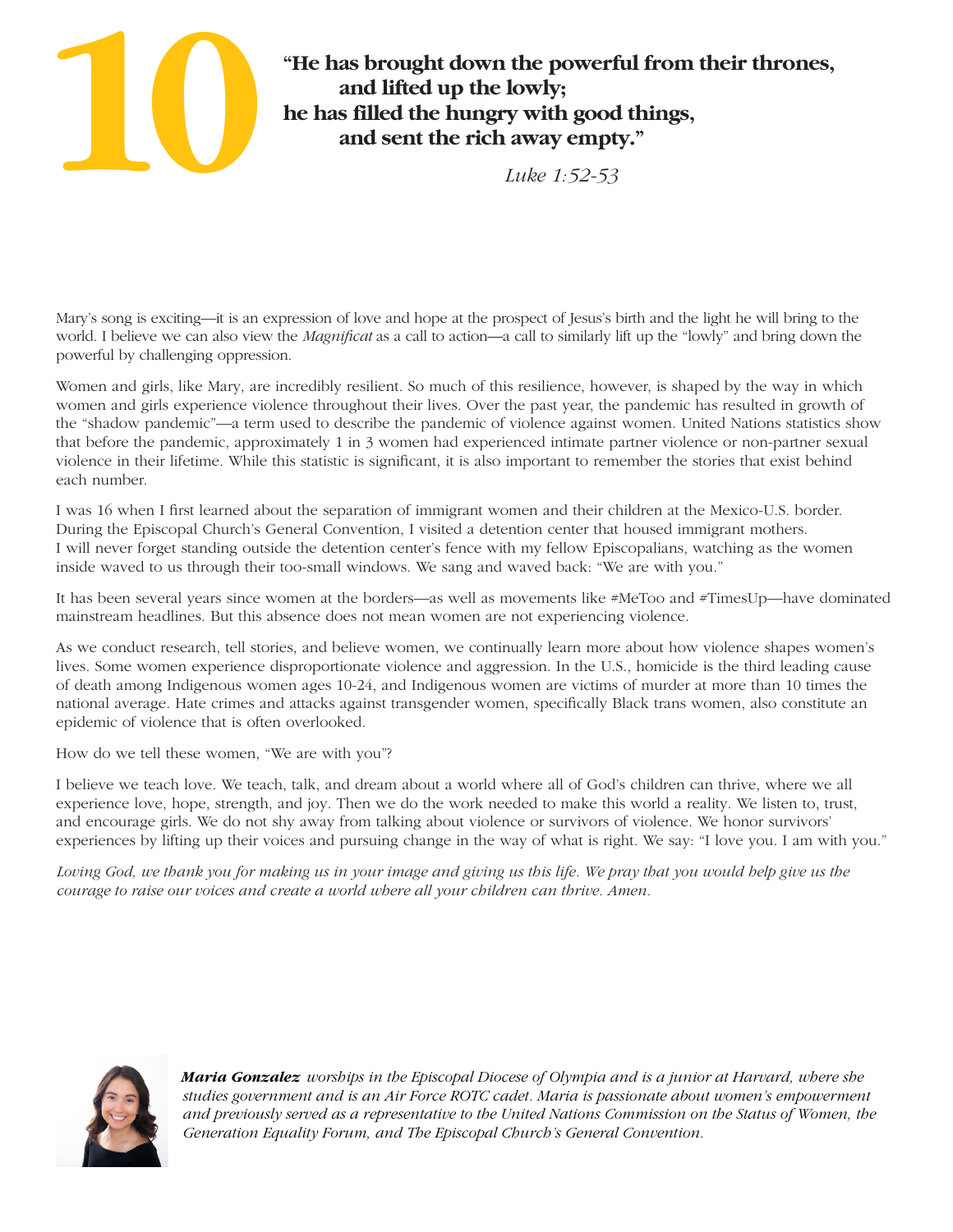

# **"He has brought down the powerful from their thrones, and lifted up the lowly; he has filled the hungry with good things, and sent the rich away empty."**

 *Luke 1:52-53*

Mary's song is exciting—it is an expression of love and hope at the prospect of Jesus's birth and the light he will bring to the world. I believe we can also view the *Magnificat* as a call to action—a call to similarly lift up the "lowly" and bring down the powerful by challenging oppression.

Women and girls, like Mary, are incredibly resilient. So much of this resilience, however, is shaped by the way in which women and girls experience violence throughout their lives. Over the past year, the pandemic has resulted in growth of the "shadow pandemic"—a term used to describe the pandemic of violence against women. United Nations statistics show that before the pandemic, approximately 1 in 3 women had experienced intimate partner violence or non-partner sexual violence in their lifetime. While this statistic is significant, it is also important to remember the stories that exist behind each number.

I was 16 when I first learned about the separation of immigrant women and their children at the Mexico-U.S. border. During the Episcopal Church's General Convention, I visited a detention center that housed immigrant mothers. I will never forget standing outside the detention center's fence with my fellow Episcopalians, watching as the women inside waved to us through their too-small windows. We sang and waved back: "We are with you."

It has been several years since women at the borders—as well as movements like #MeToo and #TimesUp—have dominated mainstream headlines. But this absence does not mean women are not experiencing violence.

As we conduct research, tell stories, and believe women, we continually learn more about how violence shapes women's lives. Some women experience disproportionate violence and aggression. In the U.S., homicide is the third leading cause of death among Indigenous women ages 10-24, and Indigenous women are victims of murder at more than 10 times the national average. Hate crimes and attacks against transgender women, specifically Black trans women, also constitute an epidemic of violence that is often overlooked.

How do we tell these women, "We are with you"?

I believe we teach love. We teach, talk, and dream about a world where all of God's children can thrive, where we all experience love, hope, strength, and joy. Then we do the work needed to make this world a reality. We listen to, trust, and encourage girls. We do not shy away from talking about violence or survivors of violence. We honor survivors' experiences by lifting up their voices and pursuing change in the way of what is right. We say: "I love you. I am with you."

Loving God, we thank you for making us in your image and giving us this life. We pray that you would help give us the *courage to raise our voices and create a world where all your children can thrive. Amen.*



*Maria Gonzalez worships in the Episcopal Diocese of Olympia and is a junior at Harvard, where she studies government and is an Air Force ROTC cadet. Maria is passionate about women's empowerment and previously served as a representative to the United Nations Commission on the Status of Women, the Generation Equality Forum, and The Episcopal Church's General Convention.*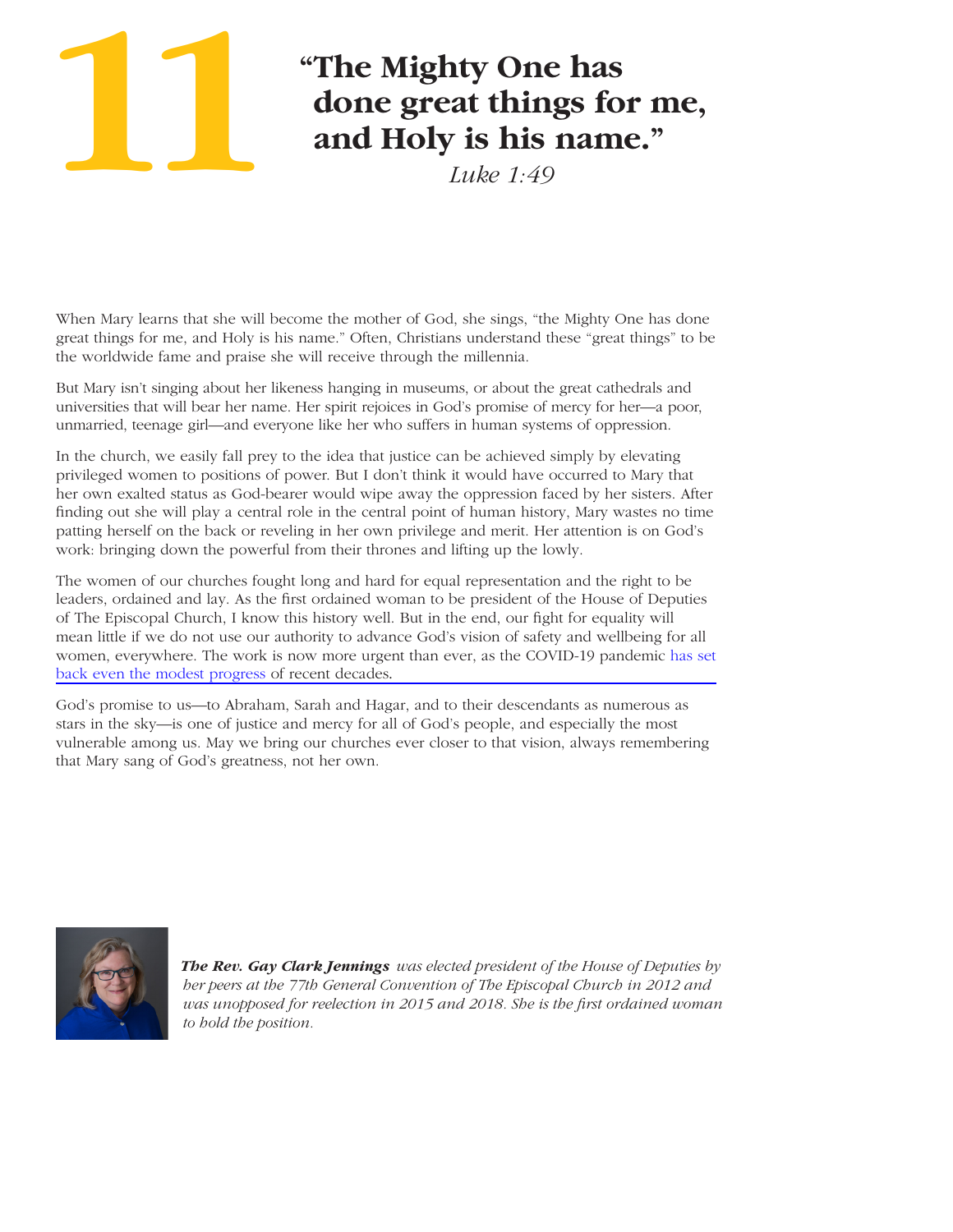# **11**

# **"The Mighty One has done great things for me, and Holy is his name."**

*Luke 1:49*

When Mary learns that she will become the mother of God, she sings, "the Mighty One has done great things for me, and Holy is his name." Often, Christians understand these "great things" to be the worldwide fame and praise she will receive through the millennia.

But Mary isn't singing about her likeness hanging in museums, or about the great cathedrals and universities that will bear her name. Her spirit rejoices in God's promise of mercy for her—a poor, unmarried, teenage girl—and everyone like her who suffers in human systems of oppression.

In the church, we easily fall prey to the idea that justice can be achieved simply by elevating privileged women to positions of power. But I don't think it would have occurred to Mary that her own exalted status as God-bearer would wipe away the oppression faced by her sisters. After finding out she will play a central role in the central point of human history, Mary wastes no time patting herself on the back or reveling in her own privilege and merit. Her attention is on God's work: bringing down the powerful from their thrones and lifting up the lowly.

The women of our churches fought long and hard for equal representation and the right to be leaders, ordained and lay. As the first ordained woman to be president of the House of Deputies of The Episcopal Church, I know this history well. But in the end, our fight for equality will mean little if we do not use our authority to advance God's vision of safety and wellbeing for all [women, everywhere. The work is now more urgent than ever, as the COVID-19 pandemic has set](https://www.un.org/en/desa/world%E2%80%99s-women-2020) back even the modest progress of recent decades.

God's promise to us—to Abraham, Sarah and Hagar, and to their descendants as numerous as stars in the sky—is one of justice and mercy for all of God's people, and especially the most vulnerable among us. May we bring our churches ever closer to that vision, always remembering that Mary sang of God's greatness, not her own.



*The Rev. Gay Clark Jennings was elected president of the House of Deputies by her peers at the 77th General Convention of The Episcopal Church in 2012 and was unopposed for reelection in 2015 and 2018. She is the first ordained woman to hold the position.*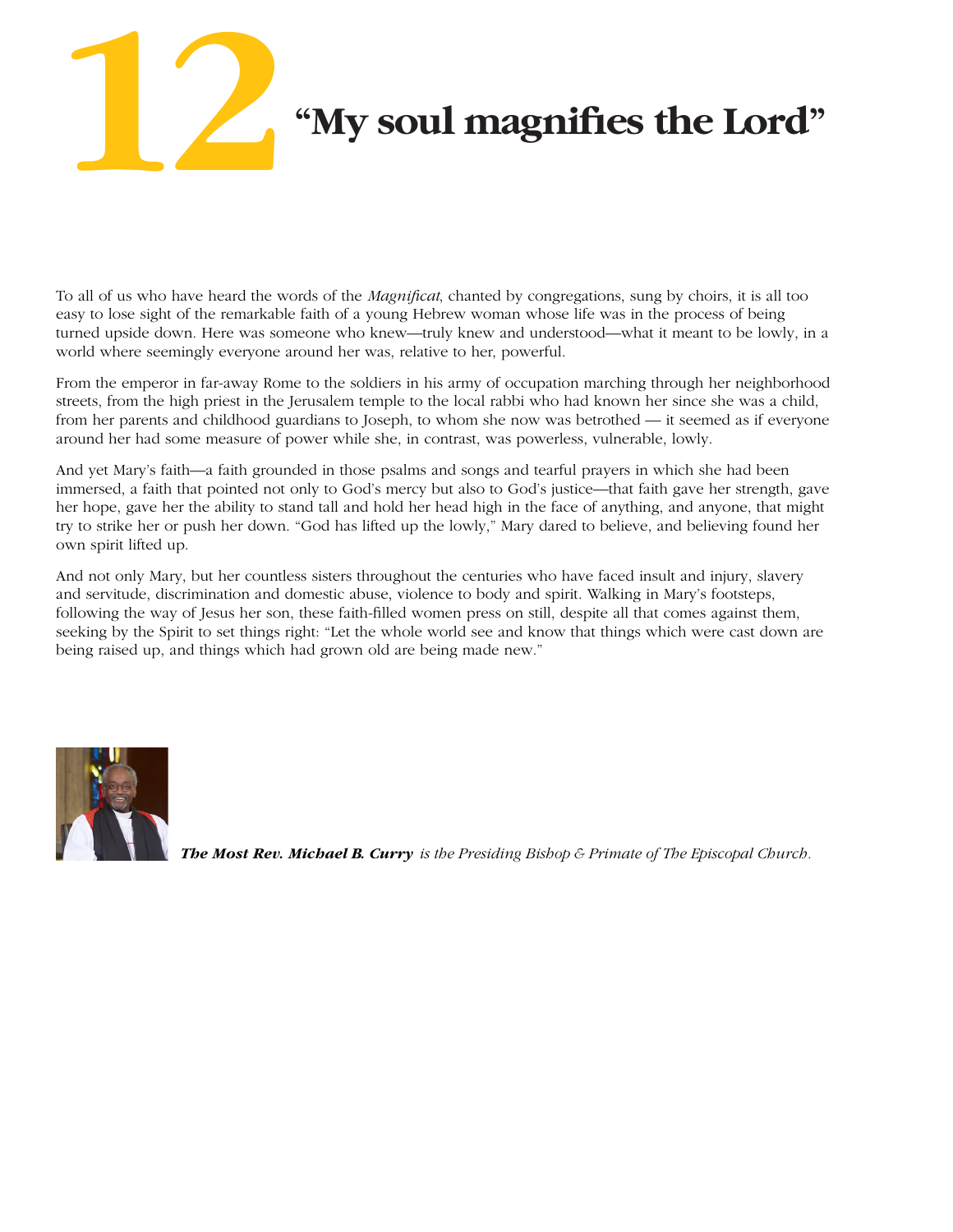

To all of us who have heard the words of the *Magnificat*, chanted by congregations, sung by choirs, it is all too easy to lose sight of the remarkable faith of a young Hebrew woman whose life was in the process of being turned upside down. Here was someone who knew—truly knew and understood—what it meant to be lowly, in a world where seemingly everyone around her was, relative to her, powerful.

From the emperor in far-away Rome to the soldiers in his army of occupation marching through her neighborhood streets, from the high priest in the Jerusalem temple to the local rabbi who had known her since she was a child, from her parents and childhood guardians to Joseph, to whom she now was betrothed — it seemed as if everyone around her had some measure of power while she, in contrast, was powerless, vulnerable, lowly.

And yet Mary's faith—a faith grounded in those psalms and songs and tearful prayers in which she had been immersed, a faith that pointed not only to God's mercy but also to God's justice—that faith gave her strength, gave her hope, gave her the ability to stand tall and hold her head high in the face of anything, and anyone, that might try to strike her or push her down. "God has lifted up the lowly," Mary dared to believe, and believing found her own spirit lifted up.

And not only Mary, but her countless sisters throughout the centuries who have faced insult and injury, slavery and servitude, discrimination and domestic abuse, violence to body and spirit. Walking in Mary's footsteps, following the way of Jesus her son, these faith-filled women press on still, despite all that comes against them, seeking by the Spirit to set things right: "Let the whole world see and know that things which were cast down are being raised up, and things which had grown old are being made new."



*The Most Rev. Michael B. Curry is the Presiding Bishop & Primate of The Episcopal Church.*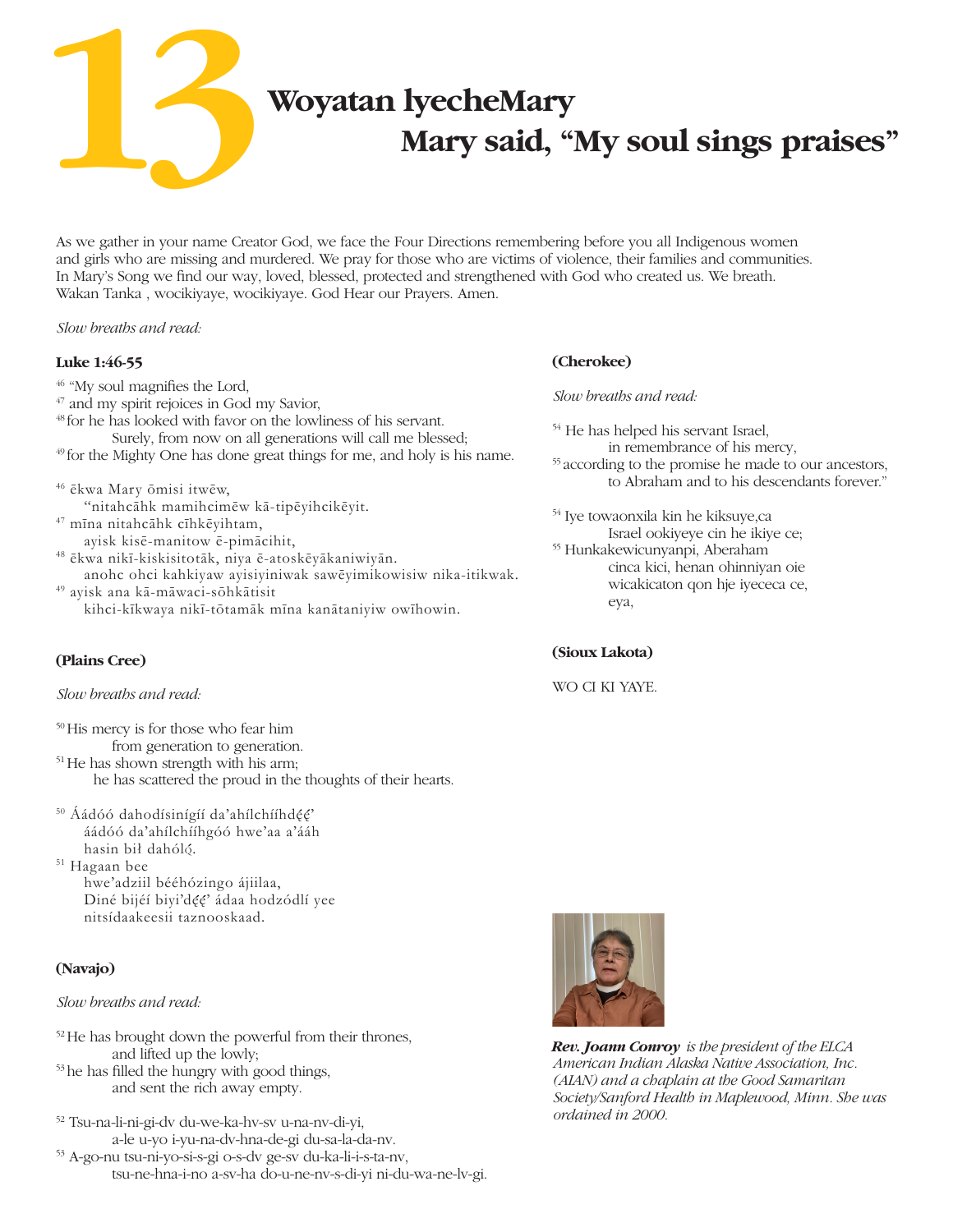**Woyatan lyecheMary**

 **Mary said, "My soul sings praises"**

As we gather in your name Creator God, we face the Four Directions remembering before you all Indigenous women and girls who are missing and murdered. We pray for those who are victims of violence, their families and communities. In Mary's Song we find our way, loved, blessed, protected and strengthened with God who created us. We breath. Wakan Tanka , wocikiyaye, wocikiyaye. God Hear our Prayers. Amen.

#### *Slow breaths and read:*

**13**

#### **Luke 1:46-55**

<sup>46</sup> "My soul magnifies the Lord, 47 and my spirit rejoices in God my Savior, <sup>48</sup> for he has looked with favor on the lowliness of his servant. Surely, from now on all generations will call me blessed; <sup>49</sup> for the Mighty One has done great things for me, and holy is his name.

<sup>46</sup> ēkwa Mary ōmisi itwēw, "nitahcāhk mamihcimēw kā‑tipēyihcikēyit.

<sup>47</sup> mīna nitahcāhk cīhkēyihtam,

ayisk kisē-manitow ē‑pimācihit,

<sup>48</sup> ēkwa nikī-kiskisitotāk, niya ē‑atoskēyākaniwiyān.

 anohc ohci kahkiyaw ayisiyiniwak sawēyimikowisiw nika-itikwak. <sup>49</sup> ayisk ana kā‑māwaci-sōhkātisit

kihci-kīkwaya nikī-tōtamāk mīna kanātaniyiw owīhowin.

#### **(Plains Cree)**

#### *Slow breaths and read:*

50His mercy is for those who fear him

from generation to generation. <sup>51</sup>He has shown strength with his arm;

he has scattered the proud in the thoughts of their hearts.

<sup>50</sup> Áádóó dahodísinígíí da'ahílchííhdęę' áádóó da'ahílchííhgóó hwe'aa a'ááh hasin bił dahóló.

<sup>51</sup> Hagaan bee hwe'adziil bééhózingo ájiilaa, Diné bijéí biyi'dęę' ádaa hodzódlí yee nitsídaakeesii taznooskaad.

### **(Navajo)**

#### *Slow breaths and read:*

52He has brought down the powerful from their thrones, and lifted up the lowly;

53he has filled the hungry with good things, and sent the rich away empty.

52 Tsu-na-li-ni-gi-dv du-we-ka-hv-sv u-na-nv-di-yi, a-le u-yo i-yu-na-dv-hna-de-gi du-sa-la-da-nv.

53 A-go-nu tsu-ni-yo-si-s-gi o-s-dv ge-sv du-ka-li-i-s-ta-nv, tsu-ne-hna-i-no a-sv-ha do-u-ne-nv-s-di-yi ni-du-wa-ne-lv-gi.

### **(Cherokee)**

*Slow breaths and read:*

54 He has helped his servant Israel, in remembrance of his mercy, <sup>55</sup> according to the promise he made to our ancestors, to Abraham and to his descendants forever."

<sup>54</sup> Iye towaonxila kin he kiksuye,ca Israel ookiyeye cin he ikiye ce; <sup>55</sup> Hunkakewicunyanpi, Aberaham cinca kici, henan ohinniyan oie wicakicaton qon hje iyececa ce, eya,

#### **(Sioux Lakota)**

WO CI KI YAYE.



*Rev. Joann Conroy is the president of the ELCA American Indian Alaska Native Association, Inc. (AIAN) and a chaplain at the Good Samaritan Society/Sanford Health in Maplewood, Minn. She was ordained in 2000.*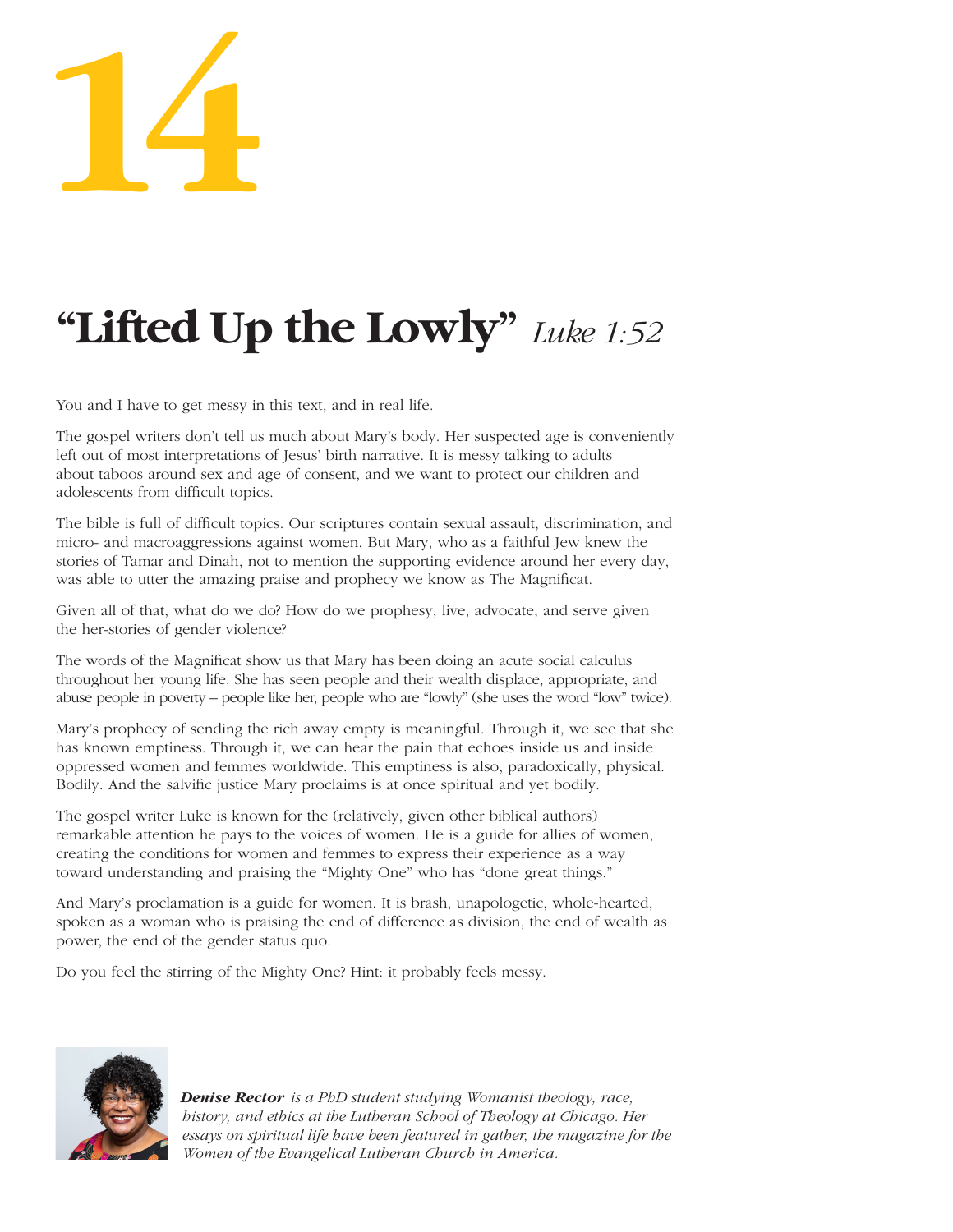# **14**

# **"Lifted Up the Lowly"** *Luke 1:52*

You and I have to get messy in this text, and in real life.

The gospel writers don't tell us much about Mary's body. Her suspected age is conveniently left out of most interpretations of Jesus' birth narrative. It is messy talking to adults about taboos around sex and age of consent, and we want to protect our children and adolescents from difficult topics.

The bible is full of difficult topics. Our scriptures contain sexual assault, discrimination, and micro- and macroaggressions against women. But Mary, who as a faithful Jew knew the stories of Tamar and Dinah, not to mention the supporting evidence around her every day, was able to utter the amazing praise and prophecy we know as The Magnificat.

Given all of that, what do we do? How do we prophesy, live, advocate, and serve given the her-stories of gender violence?

The words of the Magnificat show us that Mary has been doing an acute social calculus throughout her young life. She has seen people and their wealth displace, appropriate, and abuse people in poverty – people like her, people who are "lowly" (she uses the word "low" twice).

Mary's prophecy of sending the rich away empty is meaningful. Through it, we see that she has known emptiness. Through it, we can hear the pain that echoes inside us and inside oppressed women and femmes worldwide. This emptiness is also, paradoxically, physical. Bodily. And the salvific justice Mary proclaims is at once spiritual and yet bodily.

The gospel writer Luke is known for the (relatively, given other biblical authors) remarkable attention he pays to the voices of women. He is a guide for allies of women, creating the conditions for women and femmes to express their experience as a way toward understanding and praising the "Mighty One" who has "done great things."

And Mary's proclamation is a guide for women. It is brash, unapologetic, whole-hearted, spoken as a woman who is praising the end of difference as division, the end of wealth as power, the end of the gender status quo.

Do you feel the stirring of the Mighty One? Hint: it probably feels messy.



*Denise Rector is a PhD student studying Womanist theology, race, history, and ethics at the Lutheran School of Theology at Chicago. Her essays on spiritual life have been featured in gather, the magazine for the Women of the Evangelical Lutheran Church in America.*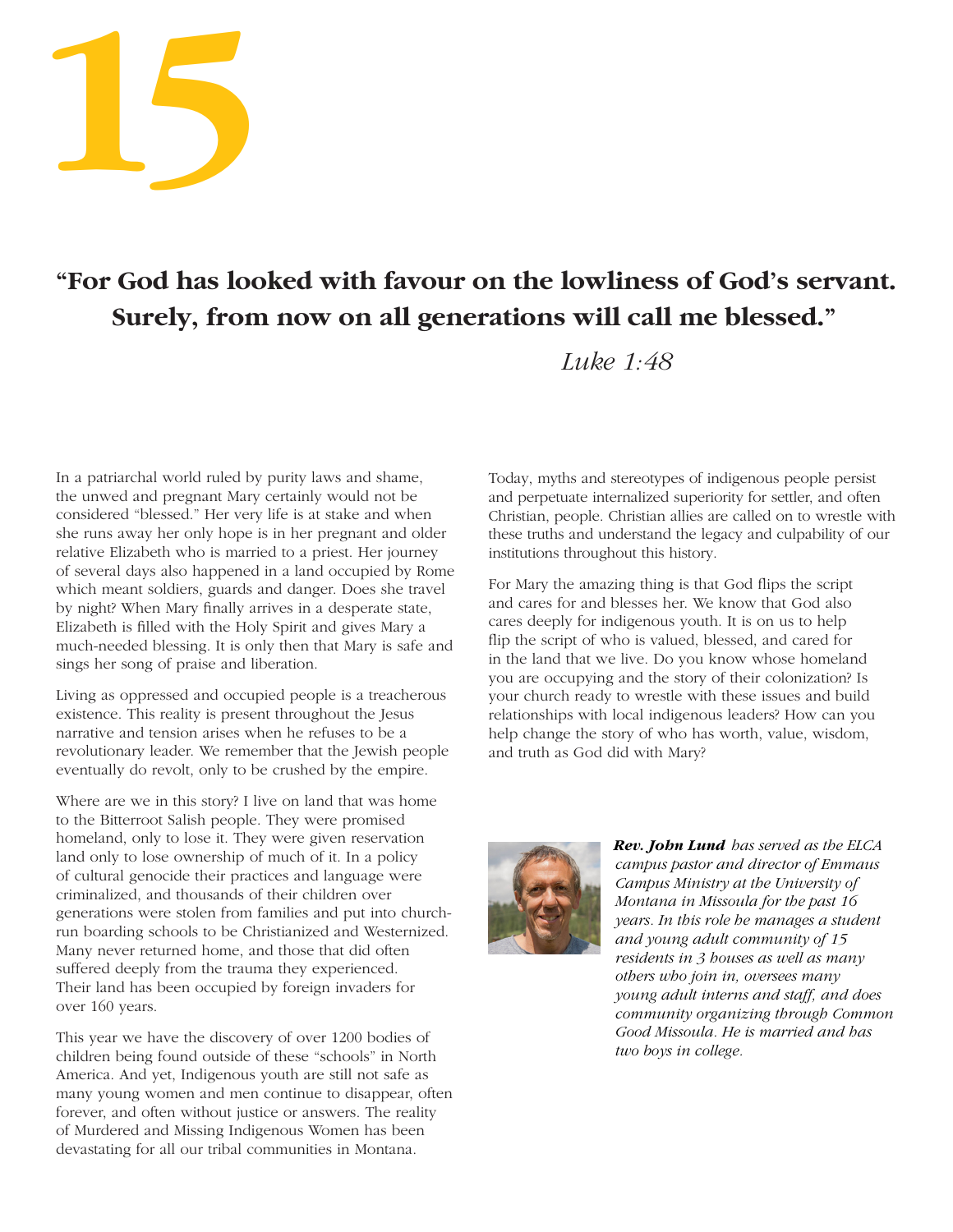

# **"For God has looked with favour on the lowliness of God's servant. Surely, from now on all generations will call me blessed."**

 *Luke 1:48*

In a patriarchal world ruled by purity laws and shame, the unwed and pregnant Mary certainly would not be considered "blessed." Her very life is at stake and when she runs away her only hope is in her pregnant and older relative Elizabeth who is married to a priest. Her journey of several days also happened in a land occupied by Rome which meant soldiers, guards and danger. Does she travel by night? When Mary finally arrives in a desperate state, Elizabeth is filled with the Holy Spirit and gives Mary a much-needed blessing. It is only then that Mary is safe and sings her song of praise and liberation.

Living as oppressed and occupied people is a treacherous existence. This reality is present throughout the Jesus narrative and tension arises when he refuses to be a revolutionary leader. We remember that the Jewish people eventually do revolt, only to be crushed by the empire.

Where are we in this story? I live on land that was home to the Bitterroot Salish people. They were promised homeland, only to lose it. They were given reservation land only to lose ownership of much of it. In a policy of cultural genocide their practices and language were criminalized, and thousands of their children over generations were stolen from families and put into churchrun boarding schools to be Christianized and Westernized. Many never returned home, and those that did often suffered deeply from the trauma they experienced. Their land has been occupied by foreign invaders for over 160 years.

This year we have the discovery of over 1200 bodies of children being found outside of these "schools" in North America. And yet, Indigenous youth are still not safe as many young women and men continue to disappear, often forever, and often without justice or answers. The reality of Murdered and Missing Indigenous Women has been devastating for all our tribal communities in Montana.

Today, myths and stereotypes of indigenous people persist and perpetuate internalized superiority for settler, and often Christian, people. Christian allies are called on to wrestle with these truths and understand the legacy and culpability of our institutions throughout this history.

For Mary the amazing thing is that God flips the script and cares for and blesses her. We know that God also cares deeply for indigenous youth. It is on us to help flip the script of who is valued, blessed, and cared for in the land that we live. Do you know whose homeland you are occupying and the story of their colonization? Is your church ready to wrestle with these issues and build relationships with local indigenous leaders? How can you help change the story of who has worth, value, wisdom, and truth as God did with Mary?



*Rev. John Lund has served as the ELCA campus pastor and director of Emmaus Campus Ministry at the University of Montana in Missoula for the past 16 years. In this role he manages a student and young adult community of 15 residents in 3 houses as well as many others who join in, oversees many young adult interns and staff, and does community organizing through Common Good Missoula. He is married and has two boys in college.*